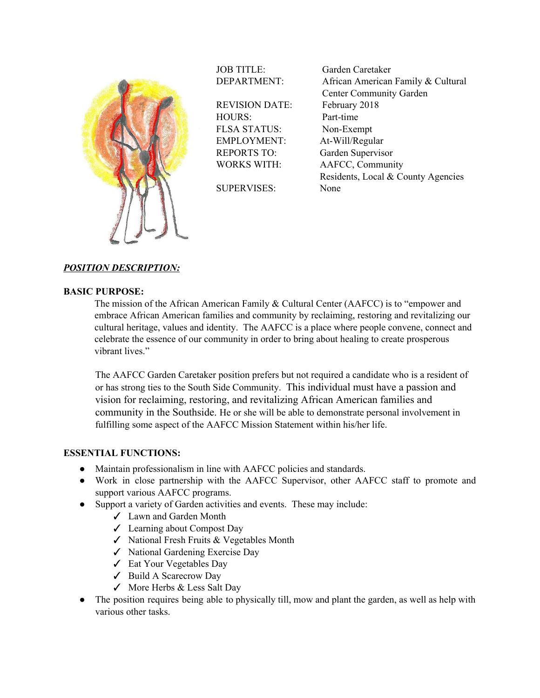

JOB TITLE: Garden Caretaker DEPARTMENT: African American Family & Cultural Center Community Garden REVISION DATE: February 2018 HOURS: Part-time FLSA STATUS: Non-Exempt EMPLOYMENT: At-Will/Regular REPORTS TO: Garden Supervisor WORKS WITH: AAFCC, Community Residents, Local & County Agencies SUPERVISES: None

# *POSITION DESCRIPTION:*

### **BASIC PURPOSE:**

The mission of the African American Family & Cultural Center (AAFCC) is to "empower and embrace African American families and community by reclaiming, restoring and revitalizing our cultural heritage, values and identity. The AAFCC is a place where people convene, connect and celebrate the essence of our community in order to bring about healing to create prosperous vibrant lives."

The AAFCC Garden Caretaker position prefers but not required a candidate who is a resident of or has strong ties to the South Side Community. This individual must have a passion and vision for reclaiming, restoring, and revitalizing African American families and community in the Southside. He or she will be able to demonstrate personal involvement in fulfilling some aspect of the AAFCC Mission Statement within his/her life.

## **ESSENTIAL FUNCTIONS:**

- Maintain professionalism in line with AAFCC policies and standards.
- Work in close partnership with the AAFCC Supervisor, other AAFCC staff to promote and support various AAFCC programs.
- Support a variety of Garden activities and events. These may include:
	- ✓ Lawn and Garden Month
	- ✓ Learning about Compost Day
	- ✓ National Fresh Fruits & Vegetables Month
	- ✓ National Gardening Exercise Day
	- ✓ Eat Your Vegetables Day
	- ✓ Build A Scarecrow Day
	- ✓ More Herbs & Less Salt Day
- The position requires being able to physically till, mow and plant the garden, as well as help with various other tasks.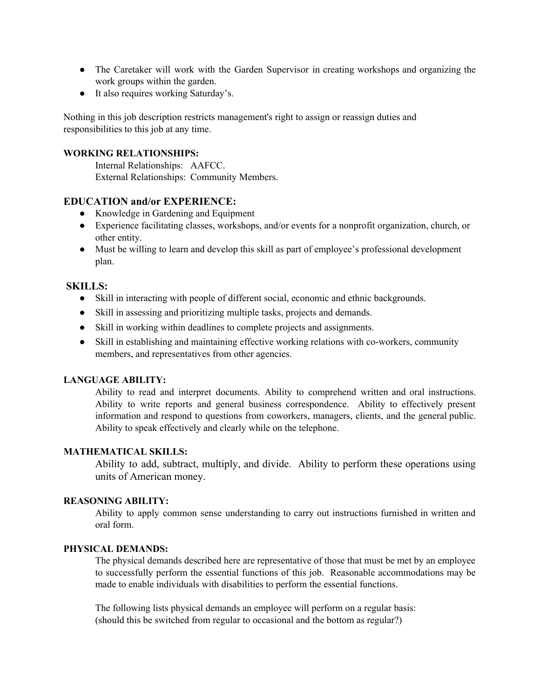- The Caretaker will work with the Garden Supervisor in creating workshops and organizing the work groups within the garden.
- It also requires working Saturday's.

Nothing in this job description restricts management's right to assign or reassign duties and responsibilities to this job at any time.

### **WORKING RELATIONSHIPS:**

Internal Relationships: AAFCC. External Relationships: Community Members.

## **EDUCATION and/or EXPERIENCE:**

- Knowledge in Gardening and Equipment
- Experience facilitating classes, workshops, and/or events for a nonprofit organization, church, or other entity.
- Must be willing to learn and develop this skill as part of employee's professional development plan.

## **SKILLS:**

- Skill in interacting with people of different social, economic and ethnic backgrounds.
- Skill in assessing and prioritizing multiple tasks, projects and demands.
- Skill in working within deadlines to complete projects and assignments.
- Skill in establishing and maintaining effective working relations with co-workers, community members, and representatives from other agencies.

### **LANGUAGE ABILITY:**

Ability to read and interpret documents. Ability to comprehend written and oral instructions. Ability to write reports and general business correspondence. Ability to effectively present information and respond to questions from coworkers, managers, clients, and the general public. Ability to speak effectively and clearly while on the telephone.

### **MATHEMATICAL SKILLS:**

Ability to add, subtract, multiply, and divide. Ability to perform these operations using units of American money.

### **REASONING ABILITY:**

Ability to apply common sense understanding to carry out instructions furnished in written and oral form.

#### **PHYSICAL DEMANDS:**

The physical demands described here are representative of those that must be met by an employee to successfully perform the essential functions of this job. Reasonable accommodations may be made to enable individuals with disabilities to perform the essential functions.

The following lists physical demands an employee will perform on a regular basis: (should this be switched from regular to occasional and the bottom as regular?)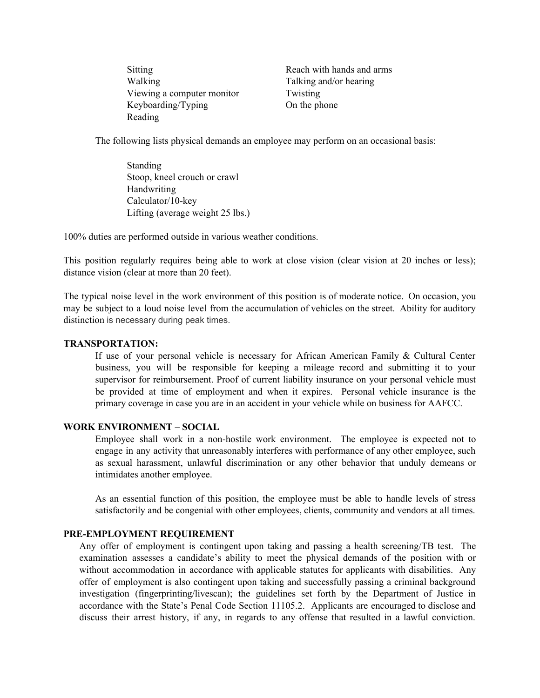Sitting Reach with hands and arms Walking Talking and/or hearing Viewing a computer monitor Twisting Keyboarding/Typing On the phone Reading

The following lists physical demands an employee may perform on an occasional basis:

**Standing** Stoop, kneel crouch or crawl **Handwriting** Calculator/10-key Lifting (average weight 25 lbs.)

100% duties are performed outside in various weather conditions.

This position regularly requires being able to work at close vision (clear vision at 20 inches or less); distance vision (clear at more than 20 feet).

The typical noise level in the work environment of this position is of moderate notice. On occasion, you may be subject to a loud noise level from the accumulation of vehicles on the street. Ability for auditory distinction is necessary during peak times.

#### **TRANSPORTATION:**

If use of your personal vehicle is necessary for African American Family & Cultural Center business, you will be responsible for keeping a mileage record and submitting it to your supervisor for reimbursement. Proof of current liability insurance on your personal vehicle must be provided at time of employment and when it expires. Personal vehicle insurance is the primary coverage in case you are in an accident in your vehicle while on business for AAFCC.

#### **WORK ENVIRONMENT – SOCIAL**

Employee shall work in a non-hostile work environment. The employee is expected not to engage in any activity that unreasonably interferes with performance of any other employee, such as sexual harassment, unlawful discrimination or any other behavior that unduly demeans or intimidates another employee.

As an essential function of this position, the employee must be able to handle levels of stress satisfactorily and be congenial with other employees, clients, community and vendors at all times.

#### **PRE-EMPLOYMENT REQUIREMENT**

Any offer of employment is contingent upon taking and passing a health screening/TB test. The examination assesses a candidate's ability to meet the physical demands of the position with or without accommodation in accordance with applicable statutes for applicants with disabilities. Any offer of employment is also contingent upon taking and successfully passing a criminal background investigation (fingerprinting/livescan); the guidelines set forth by the Department of Justice in accordance with the State's Penal Code Section 11105.2. Applicants are encouraged to disclose and discuss their arrest history, if any, in regards to any offense that resulted in a lawful conviction.